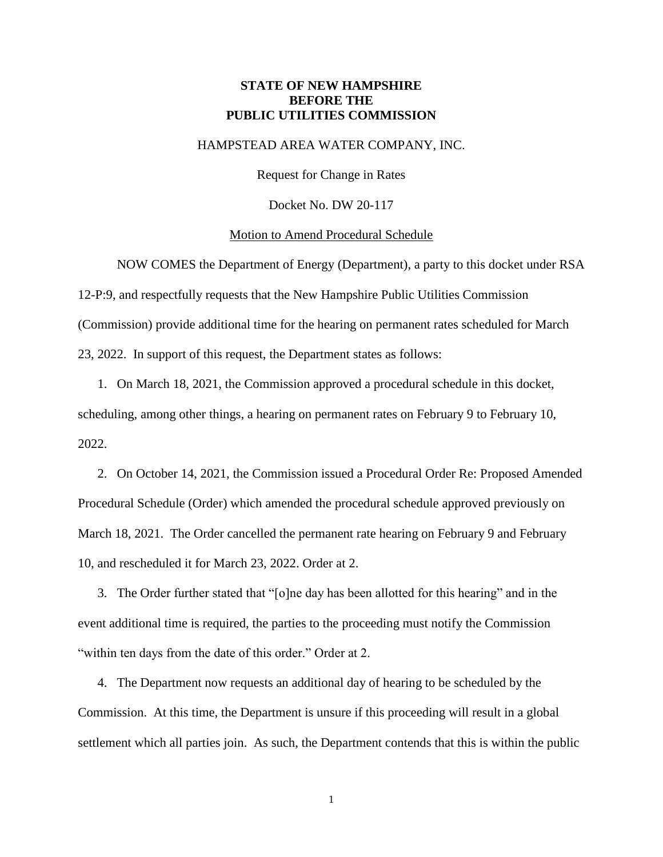# **STATE OF NEW HAMPSHIRE BEFORE THE PUBLIC UTILITIES COMMISSION**

## HAMPSTEAD AREA WATER COMPANY, INC.

Request for Change in Rates

Docket No. DW 20-117

#### Motion to Amend Procedural Schedule

NOW COMES the Department of Energy (Department), a party to this docket under RSA 12-P:9, and respectfully requests that the New Hampshire Public Utilities Commission (Commission) provide additional time for the hearing on permanent rates scheduled for March 23, 2022. In support of this request, the Department states as follows:

1. On March 18, 2021, the Commission approved a procedural schedule in this docket, scheduling, among other things, a hearing on permanent rates on February 9 to February 10, 2022.

2. On October 14, 2021, the Commission issued a Procedural Order Re: Proposed Amended Procedural Schedule (Order) which amended the procedural schedule approved previously on March 18, 2021. The Order cancelled the permanent rate hearing on February 9 and February 10, and rescheduled it for March 23, 2022. Order at 2.

3. The Order further stated that "[o]ne day has been allotted for this hearing" and in the event additional time is required, the parties to the proceeding must notify the Commission "within ten days from the date of this order." Order at 2.

4. The Department now requests an additional day of hearing to be scheduled by the Commission. At this time, the Department is unsure if this proceeding will result in a global settlement which all parties join. As such, the Department contends that this is within the public

1